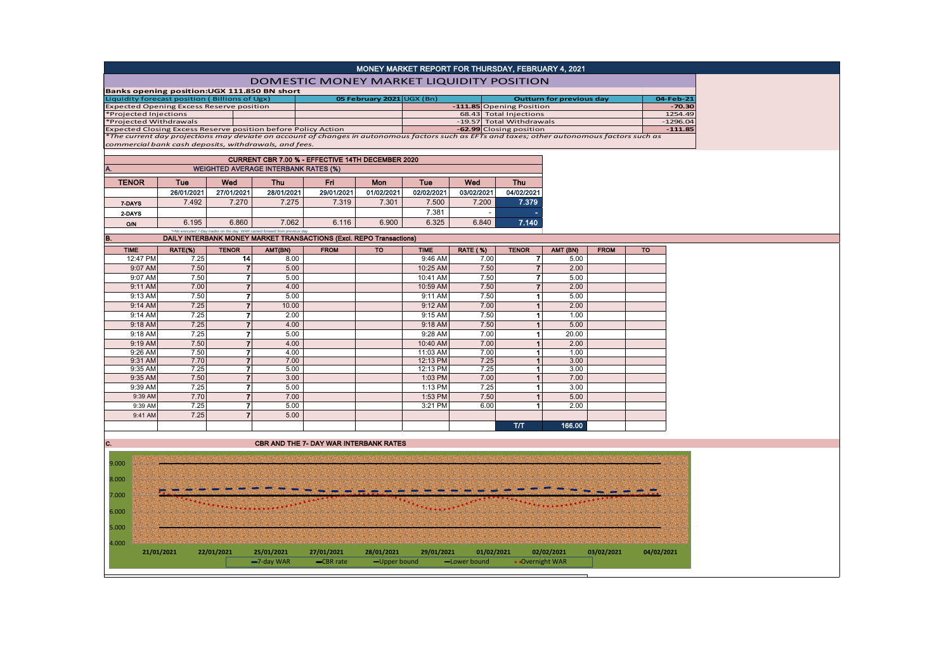|                                                                                                                                              |                                                                                                  |            |                         |               |                                               |              | MONEY MARKET REPORT FOR THURSDAY, FEBRUARY 4, 2021                                                                                                                       |                          |                          |                 |                                 |             |                         |  |  |
|----------------------------------------------------------------------------------------------------------------------------------------------|--------------------------------------------------------------------------------------------------|------------|-------------------------|---------------|-----------------------------------------------|--------------|--------------------------------------------------------------------------------------------------------------------------------------------------------------------------|--------------------------|--------------------------|-----------------|---------------------------------|-------------|-------------------------|--|--|
| <b>DOMESTIC MONEY MARKET LIQUIDITY POSITION</b>                                                                                              |                                                                                                  |            |                         |               |                                               |              |                                                                                                                                                                          |                          |                          |                 |                                 |             |                         |  |  |
| Banks opening position:UGX 111.850 BN short                                                                                                  |                                                                                                  |            |                         |               |                                               |              |                                                                                                                                                                          |                          |                          |                 |                                 |             |                         |  |  |
| 05 February 2021 UGX (Bn)<br>Liquidity forecast position (Billions of Ugx)                                                                   |                                                                                                  |            |                         |               |                                               |              |                                                                                                                                                                          |                          |                          |                 | <b>Outturn for previous day</b> |             |                         |  |  |
| <b>Expected Opening Excess Reserve position</b>                                                                                              |                                                                                                  |            |                         |               |                                               |              |                                                                                                                                                                          | -111.85 Opening Position |                          |                 |                                 |             | $-70.30$                |  |  |
| *Projected Injections                                                                                                                        |                                                                                                  |            |                         |               |                                               |              |                                                                                                                                                                          |                          | 68.43 Total Injections   |                 | 1254.49                         |             |                         |  |  |
| *Projected Withdrawals<br>Expected Closing Excess Reserve position before Policy Action                                                      |                                                                                                  |            |                         |               |                                               |              |                                                                                                                                                                          |                          | -19.57 Total Withdrawals |                 |                                 |             | $-1296.04$<br>$-111.85$ |  |  |
|                                                                                                                                              |                                                                                                  |            |                         |               |                                               |              | -62.99 Closing position<br>*The current day projections may deviate on account of changes in autonomous factors such as EFTs and taxes; other autonomous factors such as |                          |                          |                 |                                 |             |                         |  |  |
| commercial bank cash deposits, withdrawals, and fees.                                                                                        |                                                                                                  |            |                         |               |                                               |              |                                                                                                                                                                          |                          |                          |                 |                                 |             |                         |  |  |
|                                                                                                                                              |                                                                                                  |            |                         |               |                                               |              |                                                                                                                                                                          |                          |                          |                 |                                 |             |                         |  |  |
|                                                                                                                                              | CURRENT CBR 7.00 % - EFFECTIVE 14TH DECEMBER 2020<br><b>WEIGHTED AVERAGE INTERBANK RATES (%)</b> |            |                         |               |                                               |              |                                                                                                                                                                          |                          |                          |                 |                                 |             |                         |  |  |
|                                                                                                                                              |                                                                                                  |            |                         |               |                                               |              |                                                                                                                                                                          |                          |                          |                 |                                 |             |                         |  |  |
| <b>TENOR</b>                                                                                                                                 |                                                                                                  | Tue        | Wed                     | <b>Thu</b>    | Fri                                           | Mon          | Tue                                                                                                                                                                      | Wed                      |                          | <b>Thu</b>      |                                 |             |                         |  |  |
|                                                                                                                                              |                                                                                                  | 26/01/2021 | 27/01/2021              | 28/01/2021    | 29/01/2021                                    | 01/02/2021   | 02/02/2021                                                                                                                                                               | 03/02/2021               |                          | 04/02/2021      |                                 |             |                         |  |  |
| 7-DAYS                                                                                                                                       |                                                                                                  | 7.492      | 7.270                   | 7.275         | 7.319                                         | 7.301        | 7.500                                                                                                                                                                    | 7.200                    |                          | 7.379           |                                 |             |                         |  |  |
| 2-DAYS                                                                                                                                       |                                                                                                  |            |                         |               |                                               |              | 7.381                                                                                                                                                                    |                          | $\overline{\phantom{a}}$ |                 |                                 |             |                         |  |  |
|                                                                                                                                              |                                                                                                  | 6.195      | 6.860                   | 7.062         | 6.116                                         | 6.900        | 6.325                                                                                                                                                                    | 6.840                    |                          | 7.140           |                                 |             |                         |  |  |
| ON                                                                                                                                           |                                                                                                  |            |                         |               |                                               |              |                                                                                                                                                                          |                          |                          |                 |                                 |             |                         |  |  |
| *=No executed 7-Day trades on the day. WAR carried forward fron<br>DAILY INTERBANK MONEY MARKET TRANSACTIONS (Excl. REPO Transactions)<br>B. |                                                                                                  |            |                         |               |                                               |              |                                                                                                                                                                          |                          |                          |                 |                                 |             |                         |  |  |
| <b>TIME</b>                                                                                                                                  |                                                                                                  | RATE(%)    | <b>TENOR</b>            | AMT(BN)       | <b>FROM</b>                                   | <b>TO</b>    | <b>TIME</b>                                                                                                                                                              | <b>RATE (%)</b>          |                          | <b>TENOR</b>    | AMT (BN)                        | <b>FROM</b> | <b>TO</b>               |  |  |
|                                                                                                                                              | 12:47 PM                                                                                         | 7.25       | 14                      | 8.00          |                                               |              | 9:46 AM                                                                                                                                                                  |                          | 7.00                     | 7               | 5.00                            |             |                         |  |  |
|                                                                                                                                              | 9:07 AM                                                                                          | 7.50       | $\overline{7}$          | 5.00          |                                               |              | 10:25 AM                                                                                                                                                                 |                          | 7.50                     | $\overline{7}$  | 2.00                            |             |                         |  |  |
|                                                                                                                                              | 9:07 AM                                                                                          | 7.50       | $\overline{7}$          | 5.00          |                                               |              | 10:41 AM                                                                                                                                                                 |                          | 7.50                     | 7               | 5.00                            |             |                         |  |  |
|                                                                                                                                              | 9:11 AM                                                                                          | 7.00       | $\overline{7}$          | 4.00          |                                               |              | 10:59 AM                                                                                                                                                                 |                          | 7.50                     | 7               | 2.00                            |             |                         |  |  |
|                                                                                                                                              | 9:13 AM                                                                                          | 7.50       | $\overline{7}$          | 5.00          |                                               |              | 9:11 AM                                                                                                                                                                  |                          | 7.50                     | 1               | 5.00                            |             |                         |  |  |
|                                                                                                                                              | 9:14 AM                                                                                          | 7.25       | $\overline{7}$          | 10.00         |                                               |              | 9:12 AM                                                                                                                                                                  |                          | 7.00                     | 1               | 2.00                            |             |                         |  |  |
|                                                                                                                                              | 9:14 AM                                                                                          | 7.25       | $\overline{7}$          | 2.00          |                                               |              | 9:15 AM                                                                                                                                                                  |                          | 7.50                     | 1               | 1.00                            |             |                         |  |  |
|                                                                                                                                              | 9:18 AM                                                                                          | 7.25       | $\overline{7}$          | 4.00          |                                               |              | 9:18 AM                                                                                                                                                                  |                          | 7.50                     | $\overline{1}$  | 5.00                            |             |                         |  |  |
|                                                                                                                                              | 9:18 AM                                                                                          | 7.25       | $\overline{7}$          | 5.00          |                                               |              | 9:28 AM                                                                                                                                                                  |                          | 7.00                     | 1               | 20.00                           |             |                         |  |  |
|                                                                                                                                              | 9:19 AM                                                                                          | 7.50       | $\overline{7}$          | 4.00          |                                               |              | 10:40 AM                                                                                                                                                                 |                          | 7.00                     | 1               | 2.00                            |             |                         |  |  |
|                                                                                                                                              | 9:26 AM                                                                                          | 7.50       | $\overline{\mathbf{r}}$ | 4.00          |                                               |              | 11:03 AM                                                                                                                                                                 |                          | 7.00                     | 1               | 1.00                            |             |                         |  |  |
|                                                                                                                                              | 9:31 AM                                                                                          | 7.70       | $\overline{7}$          | 7.00          |                                               |              | 12:13 PM                                                                                                                                                                 |                          | 7.25                     | 1               | 3.00                            |             |                         |  |  |
|                                                                                                                                              | 9:35 AM                                                                                          | 7.25       | $\overline{7}$          | 5.00          |                                               |              | 12:13 PM                                                                                                                                                                 |                          | 7.25                     | 1               | 3.00                            |             |                         |  |  |
|                                                                                                                                              | 9:35 AM                                                                                          | 7.50       | $\overline{7}$          | 3.00          |                                               |              | 1:03 PM                                                                                                                                                                  |                          | 7.00                     | 1               | 7.00                            |             |                         |  |  |
|                                                                                                                                              | 9:39 AM                                                                                          | 7.25       | $\overline{7}$          | 5.00          |                                               |              | 1:13 PM                                                                                                                                                                  |                          | 7.25                     | 1               | 3.00                            |             |                         |  |  |
|                                                                                                                                              | 9:39 AM                                                                                          | 7.70       | $\overline{7}$          | 7.00          |                                               |              | 1:53 PM                                                                                                                                                                  |                          | 7.50                     | 1               | 5.00                            |             |                         |  |  |
|                                                                                                                                              | 9:39 AM                                                                                          | 7.25       | $\overline{7}$          | 5.00          |                                               |              | 3:21 PM                                                                                                                                                                  |                          | 6.00                     | 1               | 2.00                            |             |                         |  |  |
|                                                                                                                                              | 9:41 AM                                                                                          | 7.25       | $\overline{7}$          | 5.00          |                                               |              |                                                                                                                                                                          |                          |                          |                 |                                 |             |                         |  |  |
|                                                                                                                                              |                                                                                                  |            |                         |               |                                               |              |                                                                                                                                                                          |                          |                          | <b>T/T</b>      | 166.00                          |             |                         |  |  |
|                                                                                                                                              |                                                                                                  |            |                         |               |                                               |              |                                                                                                                                                                          |                          |                          |                 |                                 |             |                         |  |  |
| IC.                                                                                                                                          |                                                                                                  |            |                         |               | <b>CBR AND THE 7- DAY WAR INTERBANK RATES</b> |              |                                                                                                                                                                          |                          |                          |                 |                                 |             |                         |  |  |
|                                                                                                                                              |                                                                                                  |            |                         |               |                                               |              |                                                                                                                                                                          |                          |                          |                 |                                 |             |                         |  |  |
| 9.000                                                                                                                                        |                                                                                                  |            |                         |               |                                               |              |                                                                                                                                                                          |                          |                          |                 |                                 |             |                         |  |  |
|                                                                                                                                              |                                                                                                  |            |                         |               |                                               |              |                                                                                                                                                                          |                          |                          |                 |                                 |             |                         |  |  |
| 8.000                                                                                                                                        |                                                                                                  |            |                         |               |                                               |              |                                                                                                                                                                          |                          |                          |                 |                                 |             |                         |  |  |
| 7.000                                                                                                                                        |                                                                                                  |            |                         |               |                                               |              |                                                                                                                                                                          |                          |                          |                 |                                 |             |                         |  |  |
|                                                                                                                                              |                                                                                                  |            |                         |               |                                               |              |                                                                                                                                                                          |                          |                          |                 |                                 |             |                         |  |  |
| 6.000                                                                                                                                        |                                                                                                  |            |                         |               |                                               |              |                                                                                                                                                                          |                          |                          |                 |                                 |             |                         |  |  |
|                                                                                                                                              |                                                                                                  |            |                         |               |                                               |              |                                                                                                                                                                          |                          |                          |                 |                                 |             |                         |  |  |
| 5.000                                                                                                                                        |                                                                                                  |            |                         |               |                                               |              |                                                                                                                                                                          |                          |                          |                 |                                 |             |                         |  |  |
| 4.000                                                                                                                                        |                                                                                                  |            |                         |               |                                               |              |                                                                                                                                                                          |                          |                          |                 |                                 |             |                         |  |  |
|                                                                                                                                              | 21/01/2021                                                                                       |            | 22/01/2021              | 25/01/2021    | 27/01/2021                                    | 28/01/2021   | 29/01/2021                                                                                                                                                               |                          | 01/02/2021               |                 | 02/02/2021                      | 03/02/2021  | 04/02/2021              |  |  |
|                                                                                                                                              |                                                                                                  |            |                         | $-7$ -day WAR | -CBR rate                                     | -Upper bound |                                                                                                                                                                          | -Lower bound             |                          | • Overnight WAR |                                 |             |                         |  |  |
|                                                                                                                                              |                                                                                                  |            |                         |               |                                               |              |                                                                                                                                                                          |                          |                          |                 |                                 |             |                         |  |  |